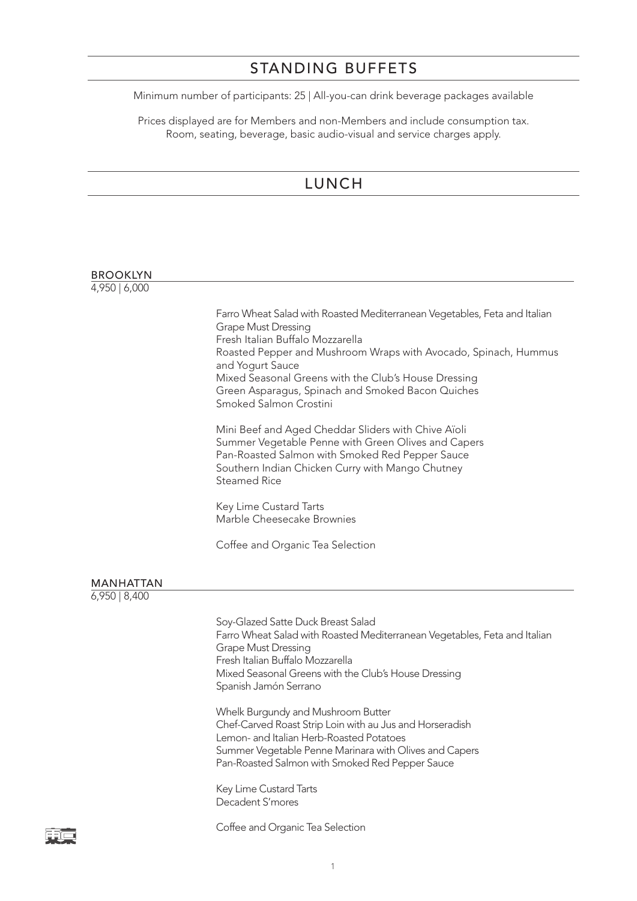#### STANDING BUFFETS

Minimum number of participants: 25 | All-you-can drink beverage packages available

Prices displayed are for Members and non-Members and include consumption tax. Room, seating, beverage, basic audio-visual and service charges apply.

## LUNCH

#### BROOKLYN 4,950 | 6,000 Farro Wheat Salad with Roasted Mediterranean Vegetables, Feta and Italian Grape Must Dressing Fresh Italian Buffalo Mozzarella Roasted Pepper and Mushroom Wraps with Avocado, Spinach, Hummus and Yogurt Sauce Mixed Seasonal Greens with the Club's House Dressing Green Asparagus, Spinach and Smoked Bacon Quiches Smoked Salmon Crostini

Mini Beef and Aged Cheddar Sliders with Chive Aïoli Summer Vegetable Penne with Green Olives and Capers Pan-Roasted Salmon with Smoked Red Pepper Sauce Southern Indian Chicken Curry with Mango Chutney Steamed Rice

Key Lime Custard Tarts Marble Cheesecake Brownies

Coffee and Organic Tea Selection

#### MANHATTAN

6,950 | 8,400

Soy-Glazed Satte Duck Breast Salad Farro Wheat Salad with Roasted Mediterranean Vegetables, Feta and Italian Grape Must Dressing Fresh Italian Buffalo Mozzarella Mixed Seasonal Greens with the Club's House Dressing Spanish Jamón Serrano

Whelk Burgundy and Mushroom Butter Chef-Carved Roast Strip Loin with au Jus and Horseradish Lemon- and Italian Herb-Roasted Potatoes Summer Vegetable Penne Marinara with Olives and Capers Pan-Roasted Salmon with Smoked Red Pepper Sauce

Key Lime Custard Tarts Decadent S'mores

Coffee and Organic Tea Selection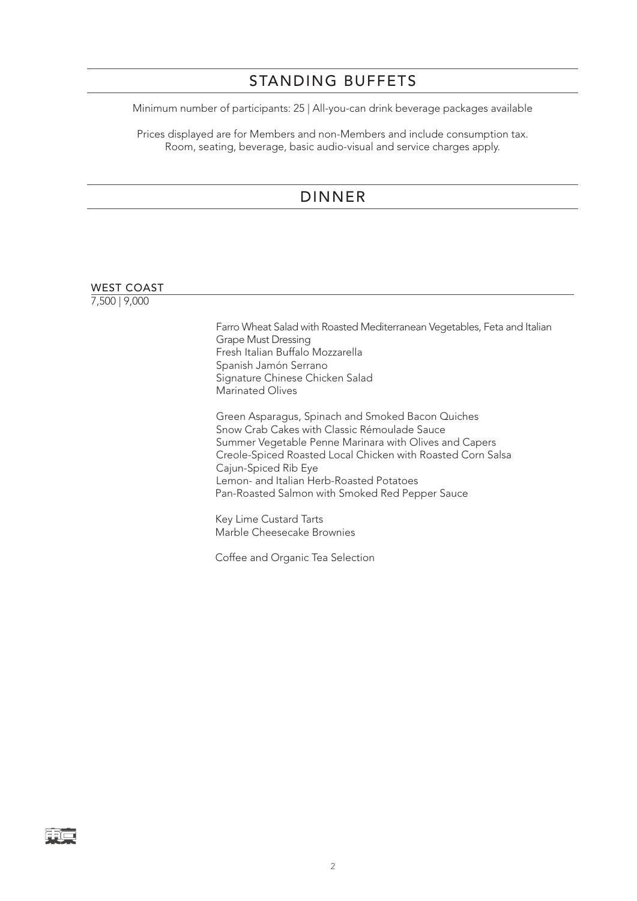# STANDING BUFFETS

Minimum number of participants: 25 | All-you-can drink beverage packages available

Prices displayed are for Members and non-Members and include consumption tax. Room, seating, beverage, basic audio-visual and service charges apply.

## DINNER

| <b>WEST COAST</b> |                                                                                                                                                                                                                                                                                                                                                   |
|-------------------|---------------------------------------------------------------------------------------------------------------------------------------------------------------------------------------------------------------------------------------------------------------------------------------------------------------------------------------------------|
| 7,500   9,000     |                                                                                                                                                                                                                                                                                                                                                   |
|                   | Farro Wheat Salad with Roasted Mediterranean Vegetables, Feta and Italian<br><b>Grape Must Dressing</b><br>Fresh Italian Buffalo Mozzarella<br>Spanish Jamón Serrano<br>Signature Chinese Chicken Salad<br>Marinated Olives                                                                                                                       |
|                   | Green Asparagus, Spinach and Smoked Bacon Quiches<br>Snow Crab Cakes with Classic Rémoulade Sauce<br>Summer Vegetable Penne Marinara with Olives and Capers<br>Creole-Spiced Roasted Local Chicken with Roasted Corn Salsa<br>Cajun-Spiced Rib Eye<br>Lemon- and Italian Herb-Roasted Potatoes<br>Pan-Roasted Salmon with Smoked Red Pepper Sauce |
|                   | Key Lime Custard Tarts<br>Marble Cheesecake Brownies                                                                                                                                                                                                                                                                                              |

Coffee and Organic Tea Selection